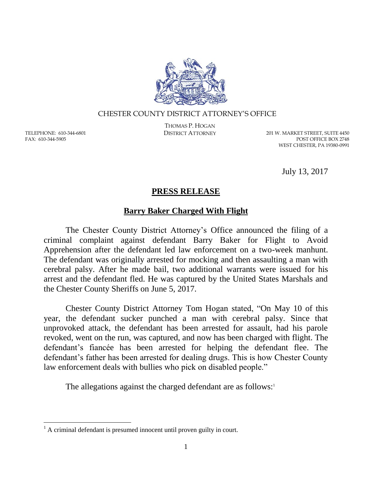

## CHESTER COUNTY DISTRICT ATTORNEY'S OFFICE

TELEPHONE: 610-344-6801 FAX: 610-344-5905

 $\overline{a}$ 

THOMAS P. HOGAN

DISTRICT ATTORNEY 201 W. MARKET STREET, SUITE 4450 POST OFFICE BOX 2748 WEST CHESTER, PA 19380-0991

July 13, 2017

## **PRESS RELEASE**

## **Barry Baker Charged With Flight**

The Chester County District Attorney's Office announced the filing of a criminal complaint against defendant Barry Baker for Flight to Avoid Apprehension after the defendant led law enforcement on a two-week manhunt. The defendant was originally arrested for mocking and then assaulting a man with cerebral palsy. After he made bail, two additional warrants were issued for his arrest and the defendant fled. He was captured by the United States Marshals and the Chester County Sheriffs on June 5, 2017.

Chester County District Attorney Tom Hogan stated, "On May 10 of this year, the defendant sucker punched a man with cerebral palsy. Since that unprovoked attack, the defendant has been arrested for assault, had his parole revoked, went on the run, was captured, and now has been charged with flight. The defendant's fiancée has been arrested for helping the defendant flee. The defendant's father has been arrested for dealing drugs. This is how Chester County law enforcement deals with bullies who pick on disabled people."

The allegations against the charged defendant are as follows:<sup>1</sup>

 $<sup>1</sup>$  A criminal defendant is presumed innocent until proven guilty in court.</sup>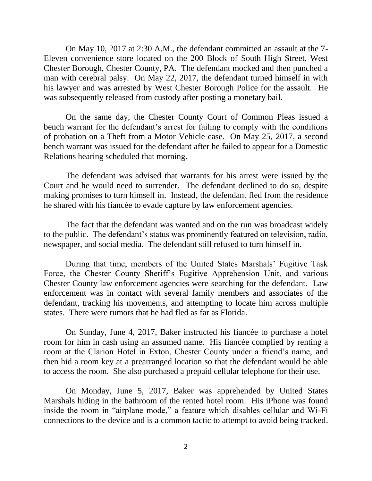On May 10, 2017 at 2:30 A.M., the defendant committed an assault at the 7- Eleven convenience store located on the 200 Block of South High Street, West Chester Borough, Chester County, PA. The defendant mocked and then punched a man with cerebral palsy. On May 22, 2017, the defendant turned himself in with his lawyer and was arrested by West Chester Borough Police for the assault. He was subsequently released from custody after posting a monetary bail.

On the same day, the Chester County Court of Common Pleas issued a bench warrant for the defendant's arrest for failing to comply with the conditions of probation on a Theft from a Motor Vehicle case. On May 25, 2017, a second bench warrant was issued for the defendant after he failed to appear for a Domestic Relations hearing scheduled that morning.

The defendant was advised that warrants for his arrest were issued by the Court and he would need to surrender. The defendant declined to do so, despite making promises to turn himself in. Instead, the defendant fled from the residence he shared with his fiancée to evade capture by law enforcement agencies.

The fact that the defendant was wanted and on the run was broadcast widely to the public. The defendant's status was prominently featured on television, radio, newspaper, and social media. The defendant still refused to turn himself in.

During that time, members of the United States Marshals' Fugitive Task Force, the Chester County Sheriff's Fugitive Apprehension Unit, and various Chester County law enforcement agencies were searching for the defendant. Law enforcement was in contact with several family members and associates of the defendant, tracking his movements, and attempting to locate him across multiple states. There were rumors that he had fled as far as Florida.

On Sunday, June 4, 2017, Baker instructed his fiancée to purchase a hotel room for him in cash using an assumed name. His fiancée complied by renting a room at the Clarion Hotel in Exton, Chester County under a friend's name, and then hid a room key at a prearranged location so that the defendant would be able to access the room. She also purchased a prepaid cellular telephone for their use.

On Monday, June 5, 2017, Baker was apprehended by United States Marshals hiding in the bathroom of the rented hotel room. His iPhone was found inside the room in "airplane mode," a feature which disables cellular and Wi-Fi connections to the device and is a common tactic to attempt to avoid being tracked.